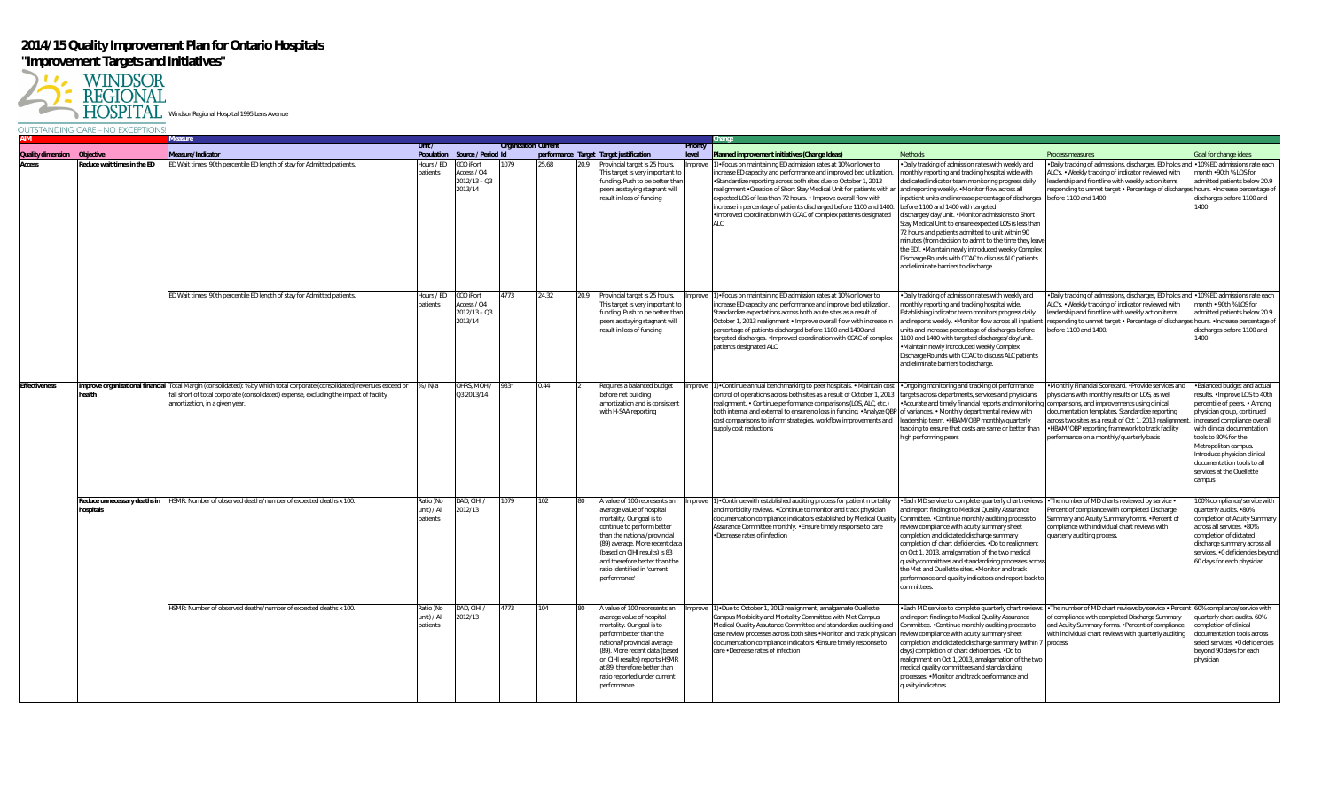## **2014/15 Quality Improvement Plan for Ontario Hospitals "Improvement Targets and Initiatives"**



|                             |                                           | Measure                                                                                                                                                                                                               |                                      |                                                       |                             |       |      |                                                                                                                                                                                                                                                                                                         |                   | Change                                                                                                                                                                                                                                                                                                                                                                                                                                                                                                                                               |                                                                                                                                                                                                                                                                                                                                                                                                                                                                                                                                                                                                                                               |                                                                                                                                                                                                                                                                                                                    |                                                                                                                                                                                                                                                                                                                                             |
|-----------------------------|-------------------------------------------|-----------------------------------------------------------------------------------------------------------------------------------------------------------------------------------------------------------------------|--------------------------------------|-------------------------------------------------------|-----------------------------|-------|------|---------------------------------------------------------------------------------------------------------------------------------------------------------------------------------------------------------------------------------------------------------------------------------------------------------|-------------------|------------------------------------------------------------------------------------------------------------------------------------------------------------------------------------------------------------------------------------------------------------------------------------------------------------------------------------------------------------------------------------------------------------------------------------------------------------------------------------------------------------------------------------------------------|-----------------------------------------------------------------------------------------------------------------------------------------------------------------------------------------------------------------------------------------------------------------------------------------------------------------------------------------------------------------------------------------------------------------------------------------------------------------------------------------------------------------------------------------------------------------------------------------------------------------------------------------------|--------------------------------------------------------------------------------------------------------------------------------------------------------------------------------------------------------------------------------------------------------------------------------------------------------------------|---------------------------------------------------------------------------------------------------------------------------------------------------------------------------------------------------------------------------------------------------------------------------------------------------------------------------------------------|
| Quality dimension Objective |                                           | Measure/Indicator                                                                                                                                                                                                     | Unit/                                | Population Source / Period Id                         | <b>Organization Current</b> |       |      | performance Target Target justification                                                                                                                                                                                                                                                                 | Priority<br>level | Planned improvement initiatives (Change Ideas)                                                                                                                                                                                                                                                                                                                                                                                                                                                                                                       | <b>Methods</b>                                                                                                                                                                                                                                                                                                                                                                                                                                                                                                                                                                                                                                | Process measures                                                                                                                                                                                                                                                                                                   | Goal for change ideas                                                                                                                                                                                                                                                                                                                       |
| Access                      | educe wait times in the ED                | ED Wait times: 90th percentile ED length of stay for Admitted patients.                                                                                                                                               | Hours / ED<br>patients               | CCO iPort<br>Access / Q4<br>$2012/13 - Q3$<br>2013/14 |                             | 25.68 | 20.9 | Provincial target is 25 hours.<br>his target is very important to<br>funding. Push to be better than<br>peers as staying stagnant will<br>result in loss of funding                                                                                                                                     | nprove            | 1) • Focus on maintaining ED admission rates at 10% or lower to<br>ncrease ED capacity and performance and improved bed utilization<br>•Standardize reporting across both sites due to October 1, 2013<br>realignment •Creation of Short Stay Medical Unit for patients with an and reporting weekly. •Monitor flow across all<br>expected LOS of less than 72 hours. • Improve overall flow with<br>increase in percentage of patients discharged before 1100 and 1400.<br>. Improved coordination with CCAC of complex patients designated<br>ALC. | . Daily tracking of admission rates with weekly and<br>monthly reporting and tracking hospital wide with<br>ledicated indicator team monitoring progress daily<br>inpatient units and increase percentage of discharges<br>before 1100 and 1400 with targeted<br>lischarges/day/unit. .Monitor admissions to Short<br>Stay Medical Unit to ensure expected LOS is less than<br>72 hours and patients admitted to unit within 90<br>minutes (from decision to admit to the time they leav<br>the ED). . Maintain newly introduced weekly Complex<br>Discharge Rounds with CCAC to discuss ALC patients<br>and eliminate barriers to discharge. | . Daily tracking of admissions, discharges, ED holds an<br>ALC's. . Weekly tracking of indicator reviewed with<br>eadership and frontline with weekly action items<br>esponding to unmet target • Percentage of discharges hours. • Increase percentage of<br>before 1100 and 1400                                 | •10% ED admissions rate each<br>onth .90th % LOS for<br>dmitted patients below 20.9<br>discharges before 1100 and<br>1400                                                                                                                                                                                                                   |
|                             |                                           | ED Wait times: 90th percentile ED length of stay for Admitted patients.                                                                                                                                               | Hours / ED<br>patients               | CCO iPort<br>Access / Q4<br>$2012/13 - Q3$<br>2013/14 | 1773                        | 24.32 | 20.9 | Provincial target is 25 hours.<br>This target is very important to<br>funding. Push to be better than<br>peers as staying stagnant will<br>result in loss of funding                                                                                                                                    | nprove            | 1) • Focus on maintaining ED admission rates at 10% or lower to<br>increase ED capacity and performance and improve bed utilization.<br>Standardize expectations across both acute sites as a result of<br>October 1, 2013 realignment . Improve overall flow with increase in<br>percentage of patients discharged before 1100 and 1400 and<br>targeted discharges. . Improved coordination with CCAC of complex<br>patients designated ALC.                                                                                                        | . Daily tracking of admission rates with weekly and<br>monthly reporting and tracking hospital wide.<br>Establishing indicator team monitors progress daily<br>and reports weekly. . Monitor flow across all inpatient<br>units and increase percentage of discharges before<br>1100 and 1400 with targeted discharges/day/unit.<br>Maintain newly introduced weekly Complex<br>Discharge Rounds with CCAC to discuss ALC patients<br>and eliminate barriers to discharge.                                                                                                                                                                    | . Daily tracking of admissions, discharges, ED holds and .10% ED admissions rate each<br>ALC's. . Weekly tracking of indicator reviewed with<br>adership and frontline with weekly action items<br>esponding to unmet target • Percentage of discharges hours. • Increase percentage of<br>before 1100 and 1400.   | nonth • 90th % LOS for<br>admitted patients below 20.9<br>discharges before 1100 and<br>1400                                                                                                                                                                                                                                                |
| ffectiveness                | mprove organizational financial<br>health | Fotal Margin (consolidated): % by which total corporate (consolidated) revenues exceed or<br>fall short of total corporate (consolidated) expense, excluding the impact of facility<br>amortization, in a given year. | % / N/a                              | OHRS, MOH /<br>Q3 2013/14                             |                             | 0.44  |      | Requires a balanced budget<br>before net building<br>amortization and is consistent<br>with H-SAA reporting                                                                                                                                                                                             |                   | nprove 1) Continue annual benchmarking to peer hospitals. • Maintain cost • Ongoing monitoring and tracking of performance<br>control of operations across both sites as a result of October 1, 2013<br>realignment. • Continue performance comparisons (LOS, ALC, etc.)<br>both internal and external to ensure no loss in funding. •Analyze QBP of variances. • Monthly departmental review with<br>cost comparisons to inform strategies, workflow improvements and<br>supply cost reductions                                                     | targets across departments, services and physicians<br>Accurate and timely financial reports and monitoring comparisons, and improvements using clinical<br>leadership team. . HBAM/QBP monthly/quarterly<br>tracking to ensure that costs are same or better than<br>high performing peers                                                                                                                                                                                                                                                                                                                                                   | Monthly Financial Scorecard. • Provide services and<br>physicians with monthly results on LOS, as well<br>documentation templates. Standardize reporting<br>across two sites as a result of Oct 1, 2013 realignment<br>.HBAM/QBP reporting framework to track facility<br>performance on a monthly/quarterly basis | Balanced budget and actual<br>esults. . Improve LOS to 40th<br>percentile of peers. • Among<br>ohysician group, continued<br>increased compliance overall<br>with clinical documentation<br>ools to 80% for the<br>Metropolitan campus.<br>ntroduce physician clinical<br>documentation tools to all<br>services at the Ouellette<br>campus |
|                             | Reduce unnecessary deaths in<br>ospitals  | HSMR: Number of observed deaths/number of expected deaths x 100                                                                                                                                                       | 'atio (Nc<br>unit) / All<br>patients | DAD. CIHI<br>2012/13                                  | 079                         | 102   |      | A value of 100 represents an<br>verage value of hospital<br>mortality. Our goal is to<br>continue to perform better<br>than the national/provincial<br>(89) average. More recent data<br>(based on CIHI results) is 83<br>and therefore better than the<br>ratio identified in 'current<br>performance' | nprove            | 1) Continue with established auditing process for patient mortality<br>and morbidity reviews. . Continue to monitor and track physician<br>documentation compliance indicators established by Medical Quality<br>Assurance Committee monthly. . Ensure timely response to care<br>·Decrease rates of infection                                                                                                                                                                                                                                       | . Each MD service to complete quarterly chart reviews<br>and report findings to Medical Quality Assurance<br>Committee. . Continue monthly auditing process to<br>eview compliance with acuity summary sheet<br>completion and dictated discharge summary<br>completion of chart deficiencies. . Do to realignment<br>on Oct 1, 2013, amalgamation of the two medical<br>quality committees and standardizing processes acros:<br>the Met and Ouellette sites. . Monitor and track<br>performance and quality indicators and report back to<br>committees.                                                                                    | . The number of MD charts reviewed by service .<br>Percent of compliance with completed Discharge<br>Summary and Acuity Summary forms. . Percent of<br>compliance with individual chart reviews with<br>quarterly auditing process.                                                                                | 00% compliance/service with<br>uarterly audits. •80%<br>ompletion of Acuity Summary<br>across all services. •80%<br>completion of dictated<br>discharge summary across all<br>services. .0 deficiencies beyond<br>60 days for each physician                                                                                                |
|                             |                                           | HSMR: Number of observed deaths/number of expected deaths x 100.                                                                                                                                                      | Ratio (No<br>unit) / All<br>patients | DAD, CIHI /<br>2012/13                                | 4773                        | 104   |      | A value of 100 represents an<br>verage value of hospital<br>mortality. Our goal is to<br>perform better than the<br>national/provincial average<br>(89). More recent data (based<br>on CIHI results) reports HSMR<br>at 89, therefore better than<br>ratio reported under current<br>performance        |                   | nprove 1) Due to October 1, 2013 realignment, amalgamate Ouellette<br>Campus Morbidity and Mortality Committee with Met Campus<br>Medical Quality Assutance Committee and standardize auditing and<br>case review processes across both sites . Monitor and track physician<br>documentation compliance indicators . Ensure timely response to<br>care .Decrease rates of infection                                                                                                                                                                  | . Each MD service to complete quarterly chart reviews<br>and report findings to Medical Quality Assurance<br>Committee. . Continue monthly auditing process to<br>review compliance with acuity summary sheet<br>ompletion and dictated discharge summary (within 7<br>days) completion of chart deficiencies. . Do to<br>ealignment on Oct 1, 2013, amalgamation of the two<br>medical quality committees and standardizing<br>processes. . Monitor and track performance and<br>quality indicators                                                                                                                                          | . The number of MD chart reviews by service . Percent 60% compliance/service with<br>of compliance with completed Discharge Summary<br>and Acuity Summary forms. . Percent of compliance<br>with individual chart reviews with quarterly auditing<br>process.                                                      | uarterly chart audits. 60%<br>ompletion of clinical<br>documentation tools across<br>select services. .0 deficiencies<br>beyond 90 days for each<br>physician                                                                                                                                                                               |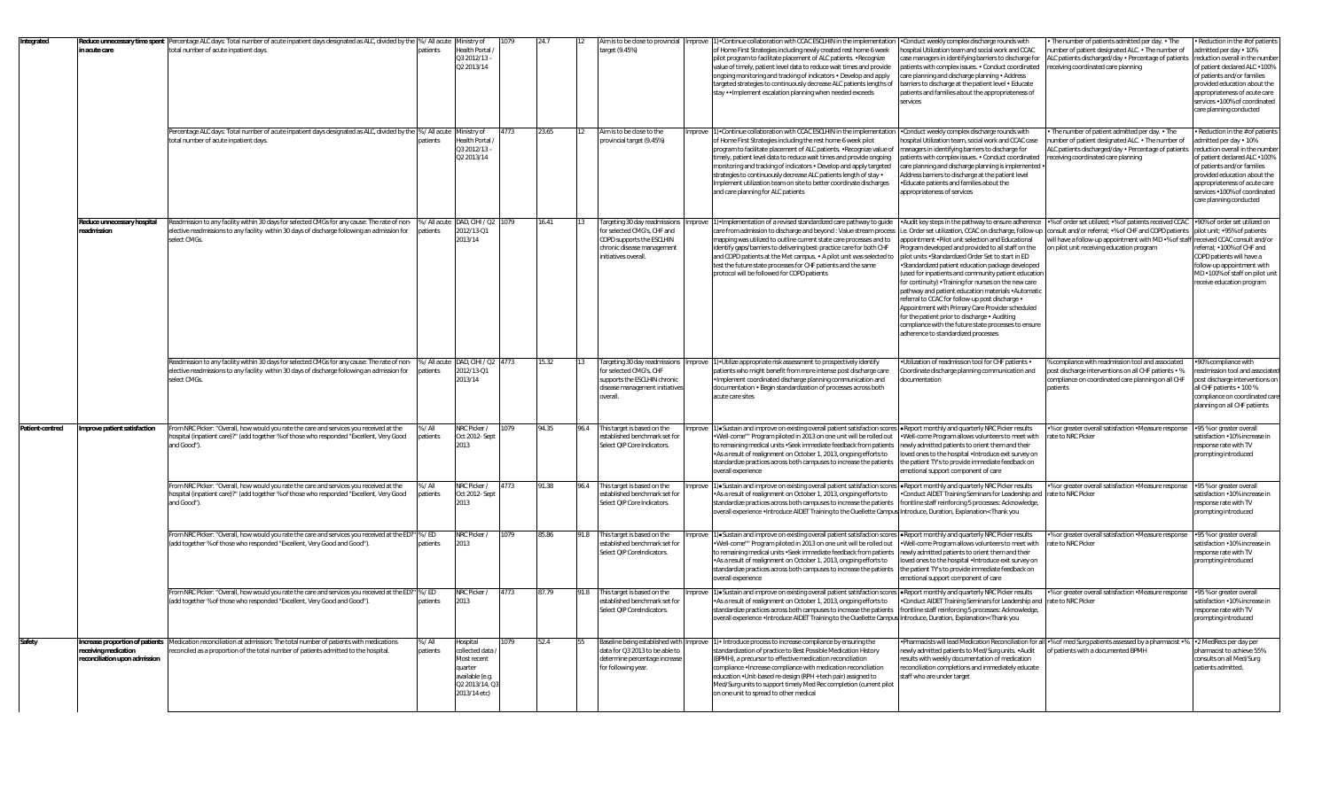| Integrated      | educe unnecessary time spent<br>n acute care                                          | Percentage ALC days: Total number of acute inpatient days designated as ALC, divided by the % / All acute Ministry of<br>total number of acute inpatient days.<br>Percentage ALC days: Total number of acute inpatient days designated as ALC, divided by the % / All acute Ministry of | atients                   | Health Portal /<br>Q3 2012/13-<br>Q2 2013/14                                                             | 4773 | 23.65 | 12   | Aim is to be close to provincial<br>arget (9.45%)<br>Aim is to be close to the                                                                 | mprove | (). Continue collaboration with CCAC ESCLHIN in the implementation<br>of Home First Strategies including newly created rest home 6 week<br>pilot program to facilitate placement of ALC patients. . Recognize<br>value of timely, patient level data to reduce wait times and provide<br>ongoing monitoring and tracking of indicators . Develop and apply<br>targeted strategies to continuously decrease ALC patients lengths of<br>stay • • Implement escalation planning when needed exceeds<br>1) Continue collaboration with CCAC ESCLHIN in the implementation | Conduct weekly complex discharge rounds with<br>ospital Utilization team and social work and CCAC<br>ase managers in identifying barriers to discharge for<br>patients with complex issues. . Conduct coordinated<br>are planning and discharge planning . Address<br>barriers to discharge at the patient level . Educate<br>atients and families about the appropriateness of<br>ervices<br>Conduct weekly complex discharge rounds with                                                                                                                                                                                               | The number of patients admitted per day. . The<br>umber of patient designated ALC. . The number of<br>ALC patients discharged/day . Percentage of patients<br>eceiving coordinated care planning<br>The number of patient admitted per day. . The                                                                               | Reduction in the # of patients<br>admitted per day . 10%<br>eduction overall in the number<br>of patient declared ALC .100%<br>of patients and/or families<br>rovided education about the<br>appropriateness of acute care<br>ervices .100% of coordinated<br>care planning conducted<br>Reduction in the # of patients |
|-----------------|---------------------------------------------------------------------------------------|-----------------------------------------------------------------------------------------------------------------------------------------------------------------------------------------------------------------------------------------------------------------------------------------|---------------------------|----------------------------------------------------------------------------------------------------------|------|-------|------|------------------------------------------------------------------------------------------------------------------------------------------------|--------|-----------------------------------------------------------------------------------------------------------------------------------------------------------------------------------------------------------------------------------------------------------------------------------------------------------------------------------------------------------------------------------------------------------------------------------------------------------------------------------------------------------------------------------------------------------------------|------------------------------------------------------------------------------------------------------------------------------------------------------------------------------------------------------------------------------------------------------------------------------------------------------------------------------------------------------------------------------------------------------------------------------------------------------------------------------------------------------------------------------------------------------------------------------------------------------------------------------------------|---------------------------------------------------------------------------------------------------------------------------------------------------------------------------------------------------------------------------------------------------------------------------------------------------------------------------------|-------------------------------------------------------------------------------------------------------------------------------------------------------------------------------------------------------------------------------------------------------------------------------------------------------------------------|
|                 |                                                                                       | total number of acute inpatient days.                                                                                                                                                                                                                                                   | atients                   | Health Portal /<br>$Q32012/13 -$<br>Q2 2013/14                                                           |      |       |      | provincial target (9.45%)                                                                                                                      | mprove | of Home First Strategies including the rest home 6 week pilot<br>orogram to facilitate placement of ALC patients. . Recognize value of<br>timely, patient level data to reduce wait times and provide ongoing<br>nonitoring and tracking of indicators . Develop and apply targeted<br>strategies to continuously decrease ALC patients length of stay .<br>mplement utilization team on site to better coordinate discharges<br>and care planning for ALC patients                                                                                                   | ospital Utilization team, social work and CCAC case<br>anagers in identifying barriers to discharge for<br>patients with complex issues. . Conduct coordinated<br>are planning and discharge planning is implemented .<br>Address barriers to discharge at the patient level<br>Educate patients and families about the<br>ippropriateness of services                                                                                                                                                                                                                                                                                   | umber of patient designated ALC. . The number of<br>ALC patients discharged/day . Percentage of patients<br>eceiving coordinated care planning                                                                                                                                                                                  | dmitted per day . 10%<br>eduction overall in the number<br>of patient declared ALC .100%<br>of patients and/or families<br>rovided education about the<br>appropriateness of acute care<br>ervices .100% of coordinated<br>are planning conducted:                                                                      |
|                 | Reduce unnecessary hospita<br>eadmission                                              | Readmission to any facility within 30 days for selected CMGs for any cause: The rate of non-<br>elective readmissions to any facility within 30 days of discharge following an admission for<br>select CMGs                                                                             | patients                  | % / All acute DAD, CIHI / Q2<br>2012/13-01<br>2013/14                                                    | 1079 | 16.41 |      | Targeting 30 day readmissions<br>for selected CMG's, CHF and<br>COPD supports the ESCLHIN<br>chronic disease management<br>nitiatives overall. | nprove | . Implementation of a revised standardized care pathway to quide<br>care from admission to discharge and beyond : Value stream process<br>mapping was utilized to outline current state care processes and to<br>identify gaps/barriers to delivering best-practice care for both CHF<br>and COPD patients at the Met campus. . A pilot unit was selected to<br>test the future state processes for CHF patients and the same<br>protocol will be followed for COPD patients                                                                                          | ppointment . Pilot unit selection and Educational<br>rogram developed and provided to all staff on the<br>pilot units •Standardized Order Set to start in ED<br>Standardized patient education package developed<br>used for inpatients and community patient education<br>or continuity) . Training for nurses on the new care<br>bathway and patient education materials .Automatic<br>eferral to CCAC for follow-up post discharge .<br>ppointment with Primary Care Provider scheduled<br>or the patient prior to discharge . Auditing<br>ompliance with the future state processes to ensure<br>adherence to standardized processes | Audit key steps in the pathway to ensure adherence . % of order set utilized; .% of patients received CCAC<br>e. Order set utilization, CCAC on discharge, follow-up consult and/or referral; •% of CHF and COPD patients<br>will have a follow-up appointment with MD .% of staff<br>In pilot unit receiving education program | .90% of order set utilized on<br>pilot unit; •95% of patients<br>eceived CCAC consult and/or<br>eferral; •100% of CHF and<br>COPD patients will have a<br>follow-up appointment with<br>MD .100% of staff on pilot unit<br>eceive education program                                                                     |
|                 |                                                                                       | Readmission to any facility within 30 days for selected CMGs for any cause: The rate of non-<br>elective readmissions to any facility within 30 days of discharge following an admission for<br>select CMGs                                                                             | % / All acute<br>patients | DAD, CIHI / Q2 4773<br>2012/13-Q1<br>2013/14                                                             |      | 15.32 |      | argeting 30 day readmission<br>for selected CMG's, CHF<br>supports the ESCLHIN chronic<br>disease management initiative<br>verall.             | nprove | 1) • Utilize appropriate risk assessment to prospectively identify<br>patients who might benefit from more intense post discharge care<br>Implement coordinated discharge planning communication and<br>documentation . Begin standardization of processes across both<br>acute care sites                                                                                                                                                                                                                                                                            | Utilization of readmission tool for CHF patients .<br>coordinate discharge planning communication and<br>ocumentation                                                                                                                                                                                                                                                                                                                                                                                                                                                                                                                    | compliance with readmission tool and associated<br>oost discharge interventions on all CHF patients . %<br>compliance on coordinated care planning on all CHF<br>patients                                                                                                                                                       | 90% compliance with<br>eadmission tool and associated<br>ost discharge interventions on<br>Ill CHF patients . 100 %<br>ompliance on coordinated care<br>lanning on all CHF patients                                                                                                                                     |
| Patient-centred | mprove patient satisfaction                                                           | From NRC Picker: "Overall, how would you rate the care and services you received at the<br>ospital (inpatient care)?" (add together % of those who responded "Excellent, Very Good<br>and Good").                                                                                       | % / All<br><b>atients</b> | NRC Picker /<br>Oct 2012- Sept<br>2013                                                                   | 079  | 94.35 | 96.4 | This target is based on the<br>established benchmark set for<br>Select QIP Core Indicators.                                                    | nprove | (of eSustain and improve on existing overall patient satisfaction scores eReport monthly and quarterly NRC Picker results<br>. Well-come"" Program piloted in 2013 on one unit will be rolled out<br>to remaining medical units · Seek immediate feedback from patients<br>. As a result of realignment on October 1, 2013, ongoing efforts to<br>standardize practices across both campuses to increase the patients<br>overall experience                                                                                                                           | Well-come Program allows volunteers to meet with<br>ewly admitted patients to orient them and their<br>oved ones to the hospital . Introduce exit survey on<br>the patient TY's to provide immediate feedback on<br>motional support component of care                                                                                                                                                                                                                                                                                                                                                                                   | % or greater overall satisfaction . Measure response<br>ate to NRC Picker                                                                                                                                                                                                                                                       | •95 % or greater overall<br>atisfaction .10% increase in<br>esponse rate with TV<br>prompting introduced                                                                                                                                                                                                                |
|                 |                                                                                       | From NRC Picker: "Overall, how would you rate the care and services you received at the<br>hospital (inpatient care)?" (add together % of those who responded "Excellent, Very Good<br>and Good").                                                                                      | %/All<br>atients          | NRC Picker /<br>Oct 2012- Sept<br>2013                                                                   | 4773 | 91.38 | 96.4 | This target is based on the<br>established benchmark set for<br>Select QIP Core Indicators.                                                    |        | nprove 1). Sustain and improve on existing overall patient satisfaction scores . Report monthly and quarterly NRC Picker results<br>•As a result of realignment on October 1, 2013, ongoing efforts to<br>standardize practices across both campuses to increase the patients<br>overall experience •Introduce AIDET Training to the Ouellette Campus Introduce, Duration, Explanation< Thank you                                                                                                                                                                     | Conduct AIDET Training Seminars for Leadership and rate to NRC Picker<br>frontline staff reinforcing 5 processes: Acknowledge,                                                                                                                                                                                                                                                                                                                                                                                                                                                                                                           | •% or greater overall satisfaction • Measure response                                                                                                                                                                                                                                                                           | •95 % or greater overall<br>atisfaction .10% increase in<br>esponse rate with TV<br>prompting introduced                                                                                                                                                                                                                |
|                 |                                                                                       | From NRC Picker: "Overall, how would you rate the care and services you received at the ED?" % / ED<br>(add together % of those who responded "Excellent, Very Good and Good").                                                                                                         | atients                   | NRC Picker /<br>2013                                                                                     | 1079 | 85.86 |      | 91.8 This target is based on the<br>established benchmark set for<br>Select QIP CoreIndicators.                                                |        | nprove 1). Sustain and improve on existing overall patient satisfaction scores . Report monthly and quarterly NRC Picker results<br>. Well-come"" Program piloted in 2013 on one unit will be rolled out<br>to remaining medical units . Seek immediate feedback from patients<br>As a result of realignment on October 1, 2013, ongoing efforts to<br>standardize practices across both campuses to increase the patients<br>overall experience                                                                                                                      | Well-come Program allows volunteers to meet with<br>newly admitted patients to orient them and their<br>oved ones to the hospital . Introduce exit survey on<br>he patient TY's to provide immediate feedback on<br>notional support component of care                                                                                                                                                                                                                                                                                                                                                                                   | % or greater overall satisfaction . Measure response<br>rate to NRC Picker                                                                                                                                                                                                                                                      | +95 % or greater overall<br>atisfaction .10% increase in<br>esponse rate with TV<br>prompting introduced                                                                                                                                                                                                                |
|                 |                                                                                       | From NRC Picker: "Overall, how would you rate the care and services you received at the ED?" % / ED<br>(add together % of those who responded "Excellent, Very Good and Good").                                                                                                         | patients                  | NRC Picker /<br>2013                                                                                     | 4773 | 87.79 | 91.8 | This target is based on the<br>established benchmark set for<br>Select OIP CoreIndicators                                                      | nprove | 1) Sustain and improve on existing overall patient satisfaction scores . Report monthly and quarterly NRC Picker results<br>• As a result of realignment on October 1, 2013, ongoing efforts to<br>standardize practices across both campuses to increase the patients<br>overall experience •Introduce AIDET Training to the Ouellette Campus Introduce, Duration, Explanation< Thank you                                                                                                                                                                            | Conduct AIDET Training Seminars for Leadership and rate to NRC Picker<br>frontline staff reinforcing 5 processes: Acknowledge,                                                                                                                                                                                                                                                                                                                                                                                                                                                                                                           | •% or greater overall satisfaction •Measure response                                                                                                                                                                                                                                                                            | •95 % or greater overall<br>atisfaction .10% increase in<br>esponse rate with TV<br>prompting introduced                                                                                                                                                                                                                |
| Safety          | ncrease proportion of patients<br>eceiving medication<br>econciliation upon admission | Medication reconciliation at admission: The total number of patients with medications<br>conciled as a proportion of the total number of patients admitted to the hospital.                                                                                                             | % / All<br>atients        | Hospital<br>collected data<br>Most recent<br>quarter<br>vailable (e.g.<br>Q2 2013/14, Q.<br>2013/14 etc) |      | 52.4  |      | Baseline being established with<br>data for Q3 2013 to be able to<br>determine percentage increase<br>for following year.                      |        | nprove 1) • Introduce process to increase compliance by ensuring the<br>standardization of practice to Best Possible Medication History<br>(BPMH), a precursor to effective medication reconciliation<br>ompliance . Increase compliance with medication reconciliation<br>education .Unit-based re-design (RPH + tech pair) assigned to<br>Med/Surg units to support timely Med Rec completion (current pilot<br>on one unit to spread to other medical                                                                                                              | ewly admitted patients to Med/Surg units. .Audit<br>sults with weekly documentation of medication<br>econciliation completions and immediately educate<br>aff who are under target                                                                                                                                                                                                                                                                                                                                                                                                                                                       | Pharmacists will lead Medication Reconciliation for all •% of med Surg patients assessed by a pharmacist •% •2 MedRecs per day per<br>of patients with a documented BPMH                                                                                                                                                        | pharmacist to achieve 55%<br>consults on all Med/Surg<br>patients admitted.                                                                                                                                                                                                                                             |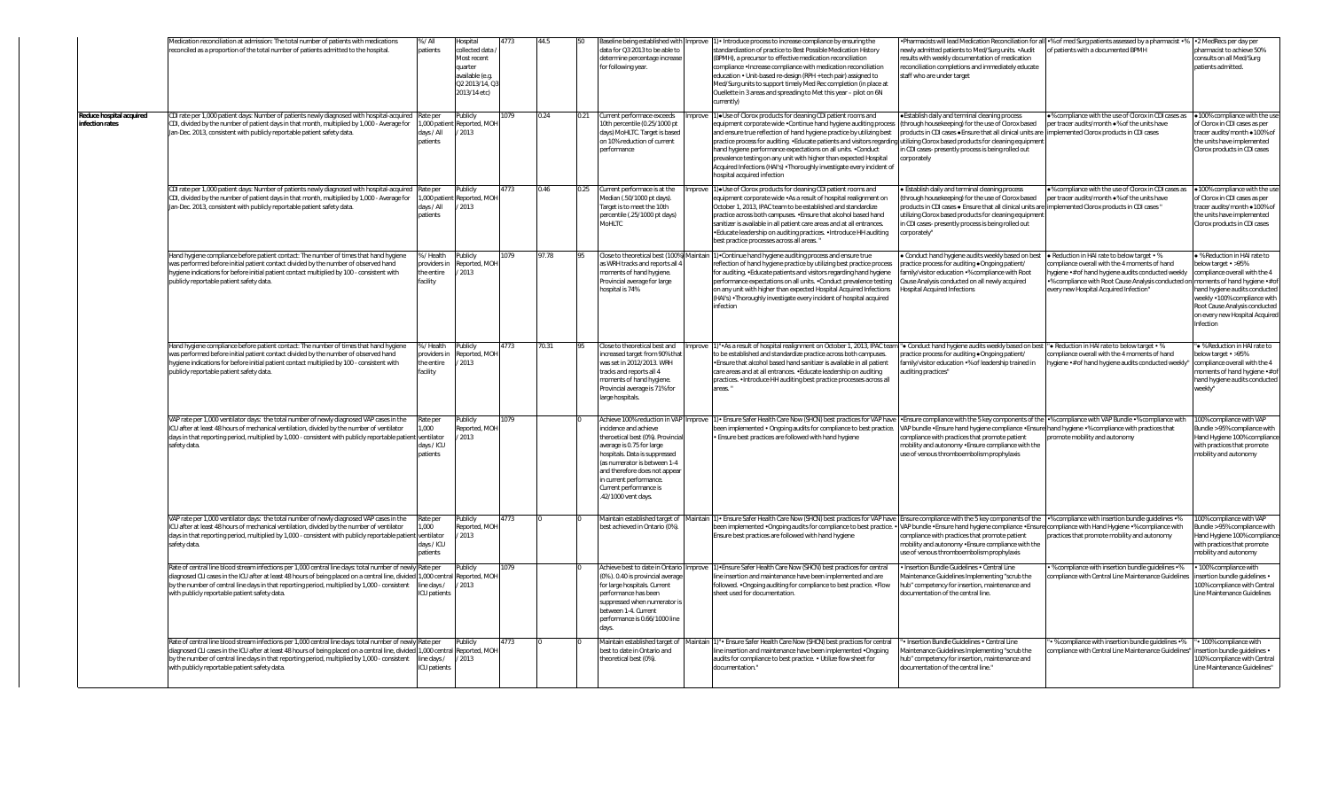|                                            | Medication reconciliation at admission: The total number of patients with medications<br>econciled as a proportion of the total number of patients admitted to the hospital.                                                                                                                                                                                                                | % / All<br>atients                                       | lospital<br>ollected data<br>Aost recent<br>uarter<br>available (e.q.<br>Q2 2013/14, Q<br>2013/14 etc) | 773  |              | aseline being established with Improve<br>data for Q3 2013 to be able to<br>determine percentage increase<br>for following year.                                                                                                                                                                              |         | 1) • Introduce process to increase compliance by ensuring the<br>tandardization of practice to Best Possible Medication History<br>BPMH), a precursor to effective medication reconciliation<br>ompliance . Increase compliance with medication reconciliation<br>education . Unit-based re-design (RPH + tech pair) assigned to<br>Med/Surg units to support timely Med Rec completion (in place at<br>Ouellette in 3 areas and spreading to Met this year - pilot on 6N<br>urrently)                                                  | ewly admitted patients to Med/Surg units. .Audit<br>esults with weekly documentation of medication<br>econciliation completions and immediately educate<br>staff who are under target                                                                                                                                                                           | Pharmacists will lead Medication Reconciliation for all •% of med Surg patients assessed by a pharmacist •% •2 MedRecs per day per<br>of patients with a documented BPMH                                                                                                        | bharmacist to achieve 50%<br>consults on all Med/Surg<br>patients admitted.                                                                                                                                                           |
|--------------------------------------------|---------------------------------------------------------------------------------------------------------------------------------------------------------------------------------------------------------------------------------------------------------------------------------------------------------------------------------------------------------------------------------------------|----------------------------------------------------------|--------------------------------------------------------------------------------------------------------|------|--------------|---------------------------------------------------------------------------------------------------------------------------------------------------------------------------------------------------------------------------------------------------------------------------------------------------------------|---------|-----------------------------------------------------------------------------------------------------------------------------------------------------------------------------------------------------------------------------------------------------------------------------------------------------------------------------------------------------------------------------------------------------------------------------------------------------------------------------------------------------------------------------------------|-----------------------------------------------------------------------------------------------------------------------------------------------------------------------------------------------------------------------------------------------------------------------------------------------------------------------------------------------------------------|---------------------------------------------------------------------------------------------------------------------------------------------------------------------------------------------------------------------------------------------------------------------------------|---------------------------------------------------------------------------------------------------------------------------------------------------------------------------------------------------------------------------------------|
| Reduce hospital acquired<br>nfection rates | DI rate per 1,000 patient days: Number of patients newly diagnosed with hospital-acquired<br>CDI, divided by the number of patient days in that month, multiplied by 1,000 - Average for<br>Jan-Dec. 2013, consistent with publicly reportable patient safety data.                                                                                                                         | Rate per<br>,000 patie<br>lays / All<br>patients         | ublicly<br>eported, MOI<br>2013                                                                        | 979  | 0.24         | Current performace exceeds<br>10th percentile (0.25/1000 pt<br>days) MoHLTC. Target is based<br>on 10% reduction of current<br>performance                                                                                                                                                                    | Improve | 1) . Use of Clorox products for cleaning CDI patient rooms and<br>equipment corporate wide . Continue hand hygiene auditing process<br>and ensure true reflection of hand hygiene practice by utilizing best<br>practice process for auditing. . Educate patients and visitors regarding<br>nand hygiene performance expectations on all units. . Conduct<br>prevalence testing on any unit with higher than expected Hospital<br>Acquired Infections (HAI's) . Thoroughly investigate every incident of<br>hospital acquired infection | Establish daily and terminal cleaning process<br>through housekeeping) for the use of Clorox based<br>oroducts in CDI cases .Ensure that all clinical units are<br>utilizing Clorox based products for cleaning equipmen<br>CDI cases- presently process is being rolled out<br>orporately                                                                      | .% compliance with the use of Clorox in CDI cases as •100% compliance with the us<br>per tracer audits/month ●% of the units have<br>implemented Clorox products in CDI cases                                                                                                   | of Clorox in CDI cases as per<br>tracer audits/month .100% of<br>the units have implemented<br>Clorox products in CDI cases                                                                                                           |
|                                            | CDI rate per 1,000 patient days: Number of patients newly diagnosed with hospital-acquired<br>CDI, divided by the number of patient days in that month, multiplied by 1,000 - Average for<br>Jan-Dec. 2013, consistent with publicly reportable patient safety data.                                                                                                                        | Rate per<br>,000 patier<br>lays / All<br>atients         | ublicly<br>Reported, MOH<br>2013                                                                       | 1773 | 0.46<br>0.25 | Current performace is at the<br>Median (.50/1000 pt days).<br>Target is to meet the 10th<br>percentile (.25/1000 pt days)<br>MoHLTC                                                                                                                                                                           |         | 1) • Use of Clorox products for cleaning CDI patient rooms and<br>quipment corporate wide .As a result of hospital realignment on<br>October 1, 2013, IPAC team to be established and standardize<br>practice across both campuses. . Ensure that alcohol based hand<br>anitizer is available in all patient care areas and at all entrances.<br>Educate leadership on auditing practices. . Introduce HH auditing<br>est practice processes across all areas."                                                                         | Establish daily and terminal cleaning process<br>through housekeeping) for the use of Clorox based<br>oducts in CDI cases $\bullet$ Ensure that all clinical units are<br>tilizing Clorox based products for cleaning equipment<br>1 CDI cases- presently process is being rolled out<br>corporately"                                                           | .% compliance with the use of Clorox in CDI cases as<br>per tracer audits/month $\bullet\%$ of the units have<br>implemented Clorox products in CDI cases "                                                                                                                     | .100% compliance with the us<br>of Clorox in CDI cases as per<br>racer audits/month .100% of<br>the units have implemented<br>Clorox products in CDI cases                                                                            |
|                                            | Hand hygiene compliance before patient contact: The number of times that hand hygiene<br>was performed before initial patient contact divided by the number of observed hand<br>tygiene indications for before initial patient contact multiplied by 100 - consistent with<br>publicly reportable patient safety data.                                                                      | / Health<br>oviders in<br>he entire<br>acility           | ublicly<br>eported, MOH<br>2013                                                                        | 079  | 97.78        | Close to theoretical best (100%) Maintain<br>as WRH tracks and reports all 4<br>moments of hand hygiene.<br>Provincial average for large<br>hospital is 74%                                                                                                                                                   |         | 1) Continue hand hygiene auditing process and ensure true<br>eflection of hand hygiene practice by utilizing best practice process<br>for auditing. • Educate patients and visitors regarding hand hygiene<br>performance expectations on all units. . Conduct prevalence testing<br>on any unit with higher than expected Hospital Acquired Infections<br>(HAI's) . Thoroughly investigate every incident of hospital acquired<br>infection                                                                                            | Conduct hand hygiene audits weekly based on best<br>ractice process for auditing .Ongoing patient/<br>amily/visitor education .% compliance with Root<br>ause Analysis conducted on all newly acquired<br>ospital Acquired Infections                                                                                                                           | . Reduction in HAI rate to below target . %<br>compliance overall with the 4 moments of hand<br>ygiene •# of hand hygiene audits conducted weekly<br>% compliance with Root Cause Analysis conducted on moments of hand hygiene .# of<br>every new Hospital Acquired Infection" | · % Reduction in HAI rate to<br>below target • >95%<br>compliance overall with the 4<br>hand hygiene audits conducted<br>weekly .100% compliance with<br>Root Cause Analysis conducted<br>on every new Hospital Acquired<br>Infection |
|                                            | Hand hygiene compliance before patient contact: The number of times that hand hygiene<br>was performed before initial patient contact divided by the number of observed hand<br>hygiene indications for before initial patient contact multiplied by 100 - consistent with<br>publicly reportable patient safety data.                                                                      | 6 / Health<br>roviders in<br>he entire<br>acility        | Publicly<br>Reported, MOH<br>/ 2013                                                                    | 1773 | 70.31        | Close to theoretical best and Improv<br>increased target from 90% that<br>was set in 2012/2013. WRH<br>tracks and reports all 4<br>moments of hand hygiene.<br>Provincial average is 71% for<br>large hospitals.                                                                                              |         | ". As a result of hospital realignment on October 1, 2013, IPAC tear<br>to be established and standardize practice across both campuses.<br>. Ensure that alcohol based hand sanitizer is available in all patient<br>care areas and at all entrances. • Educate leadership on auditing<br>practices. . Introduce HH auditing best practice processes across all<br>areas.'                                                                                                                                                             | • Conduct hand hygiene audits weekly based on best "• Reduction in HAI rate to below target • %<br>oractice process for auditing .Ongoing patient/<br>amily/visitor education .% of leadership trained in<br>uditing practices"                                                                                                                                 | compliance overall with the 4 moments of hand<br>hygiene .# of hand hygiene audits conducted weekly"                                                                                                                                                                            | * % Reduction in HAI rate to<br>below target • >95%<br>compliance overall with the 4<br>moments of hand hygiene •# of<br>hand hygiene audits conducted<br>weekly"                                                                     |
|                                            | VAP rate per 1,000 ventilator days: the total number of newly diagnosed VAP cases in the<br>ICU after at least 48 hours of mechanical ventilation, divided by the number of ventilator<br>days in that reporting period, multiplied by 1,000 - consistent with publicly reportable patien<br>safety data.                                                                                   | रेate per<br>.000<br>entilator<br>Jays / ICU<br>patients | ublicly<br>eported, MOH<br>2013                                                                        | 079  |              | Achieve 100% reduction in VAP Improve<br>incidence and achieve<br>theroetical best (0%). Provincial<br>average is 0.75 for large<br>hospitals. Data is suppressed<br>(as numerator is between 1-4<br>and therefore does not appear<br>in current performance<br>Current performance is<br>.42/1000 vent days. |         | ) - Ensure Safer Health Care Now (SHCN) best practices for VAP have<br>been implemented . Ongoing audits for compliance to best practice.<br>Ensure best practices are followed with hand hygiene                                                                                                                                                                                                                                                                                                                                       | VAP bundle . Ensure hand hygiene compliance . Ensure hand hygiene . % compliance with practices that<br>compliance with practices that promote patient<br>mobility and autonomy . Ensure compliance with the<br>use of venous thromboembolism prophylaxis                                                                                                       | Ensure compliance with the 5 key components of the .% compliance with VAP Bundle .% compliance with<br>promote mobility and autonomy                                                                                                                                            | 100% compliance with VAP<br>Bundle > 95% compliance with<br>Hand Hygiene 100% compliance<br>with practices that promote<br>mobility and autonomy                                                                                      |
|                                            | VAP rate per 1,000 ventilator days: the total number of newly diagnosed VAP cases in the<br>ICU after at least 48 hours of mechanical ventilation, divided by the number of ventilator<br>days in that reporting period, multiplied by 1,000 - consistent with publicly reportable patien<br>safety data.                                                                                   | ate per<br>.000<br>ventilator<br>days / ICU<br>atients   | ublicly<br>eported, MOI<br>2013                                                                        | 773  |              | Maintain established target of Maintain<br>best achieved in Ontario (0%).                                                                                                                                                                                                                                     |         | ) · Ensure Safer Health Care Now (SHCN) best practices for VAP have<br>oeen implemented . Ongoing audits for compliance to best practice. .<br>Ensure best practices are followed with hand hygiene                                                                                                                                                                                                                                                                                                                                     | Ensure compliance with the 5 key components of the % compliance with insertion bundle guidelines . %<br>VAP bundle •Ensure hand hygiene compliance •Ensure compliance with Hand Hygiene •% compliance with<br>compliance with practices that promote patient<br>mobility and autonomy . Ensure compliance with the<br>use of venous thromboembolism prophylaxis | practices that promote mobility and autonomy                                                                                                                                                                                                                                    | 100% compliance with VAP<br>Bundle > 95% compliance with<br>Hand Hygiene 100% compliance<br>with practices that promote<br>mobility and autonomy                                                                                      |
|                                            | Rate of central line blood stream infections per 1,000 central line days: total number of new<br>diagnosed CLI cases in the ICU after at least 48 hours of being placed on a central line, divided<br>by the number of central line days in that reporting period, multiplied by 1,000 - consistent<br>with publicly reportable patient safety data.                                        | Rate per<br>1,000 centr<br>ine days /<br>CU patients     | ublicly<br>Reported, MOH<br>2013                                                                       | 079  |              | Achieve best to date in Ontario Improve<br>(0%). 0.40 is provincial average<br>for large hospitals. Current<br>performance has been<br>suppressed when numerator is<br>between 1-4. Current<br>performance is 0.66/1000 line<br>days.                                                                         |         | 1) · Ensure Safer Health Care Now (SHCN) best practices for central<br>line insertion and maintenance have been implemented and are<br>followed. . Ongoing auditing for compliance to best practice. . Flow<br>sheet used for documentation.                                                                                                                                                                                                                                                                                            | Insertion Bundle Guidelines . Central Line<br>Aaintenance Guidelines Implementing "scrub the<br>hub" competency for insertion, maintenance and<br>documentation of the central line.                                                                                                                                                                            | % compliance with insertion bundle guidelines .%<br>ompliance with Central Line Maintenance Guidelines                                                                                                                                                                          | 100% compliance with<br>insertion bundle quidelines .<br>100% compliance with Central<br>Line Maintenance Guidelines                                                                                                                  |
|                                            | Rate of central line blood stream infections per 1,000 central line days: total number of newly Rate per<br>diagnosed CLI cases in the ICU after at least 48 hours of being placed on a central line, divided 1,000 central Reported, MOH<br>by the number of central line days in that reporting period, multiplied by 1,000 - consistent<br>with publicly reportable patient safety data. | ne days /<br>CU patients                                 | ublicly<br>/ 2013                                                                                      | 773  |              | Maintain established target of Maintair<br>best to date in Ontario and<br>theoretical best (0%).                                                                                                                                                                                                              |         | " Ensure Safer Health Care Now (SHCN) best practices for central<br>line insertion and maintenance have been implemented .Ongoing<br>audits for compliance to best practice. . Utilize flow sheet for<br>documentation."                                                                                                                                                                                                                                                                                                                | Insertion Bundle Guidelines . Central Line<br>Maintenance Guidelines Implementing "scrub the<br>hub" competency for insertion, maintenance and<br>documentation of the central line."                                                                                                                                                                           | • % compliance with insertion bundle guidelines •%<br>compliance with Central Line Maintenance Guidelines"                                                                                                                                                                      | · 100% compliance with<br>insertion bundle quidelines •<br>100% compliance with Central<br>Line Maintenance Guidelines"                                                                                                               |